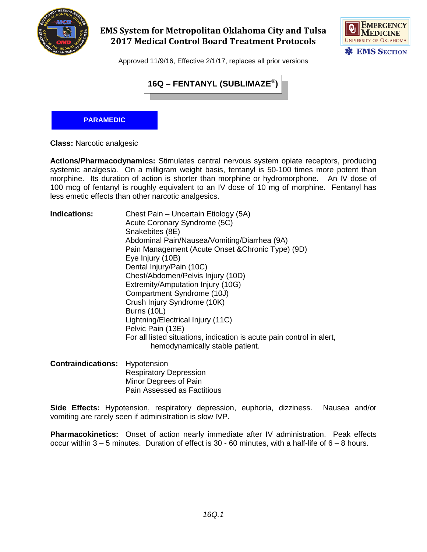

## **EMS System for Metropolitan Oklahoma City and Tulsa 2017 Medical Control Board Treatment Protocols**



Approved 11/9/16, Effective 2/1/17, replaces all prior versions



## **PARAMEDIC**

**Class:** Narcotic analgesic

**Actions/Pharmacodynamics:** Stimulates central nervous system opiate receptors, producing systemic analgesia. On a milligram weight basis, fentanyl is 50-100 times more potent than morphine. Its duration of action is shorter than morphine or hydromorphone. An IV dose of 100 mcg of fentanyl is roughly equivalent to an IV dose of 10 mg of morphine. Fentanyl has less emetic effects than other narcotic analgesics.

| <b>Indications:</b> | Chest Pain - Uncertain Etiology (5A)                                  |
|---------------------|-----------------------------------------------------------------------|
|                     | Acute Coronary Syndrome (5C)                                          |
|                     | Snakebites (8E)                                                       |
|                     | Abdominal Pain/Nausea/Vomiting/Diarrhea (9A)                          |
|                     | Pain Management (Acute Onset & Chronic Type) (9D)                     |
|                     | Eye Injury (10B)                                                      |
|                     | Dental Injury/Pain (10C)                                              |
|                     | Chest/Abdomen/Pelvis Injury (10D)                                     |
|                     | Extremity/Amputation Injury (10G)                                     |
|                     | Compartment Syndrome (10J)                                            |
|                     | Crush Injury Syndrome (10K)                                           |
|                     | Burns (10L)                                                           |
|                     | Lightning/Electrical Injury (11C)                                     |
|                     | Pelvic Pain (13E)                                                     |
|                     | For all listed situations, indication is acute pain control in alert, |
|                     | hemodynamically stable patient.                                       |
|                     |                                                                       |

**Contraindications:** Hypotension Respiratory Depression Minor Degrees of Pain Pain Assessed as Factitious

**Side Effects:** Hypotension, respiratory depression, euphoria, dizziness. Nausea and/or vomiting are rarely seen if administration is slow IVP.

**Pharmacokinetics:** Onset of action nearly immediate after IV administration. Peak effects occur within 3 – 5 minutes. Duration of effect is 30 - 60 minutes, with a half-life of 6 – 8 hours.